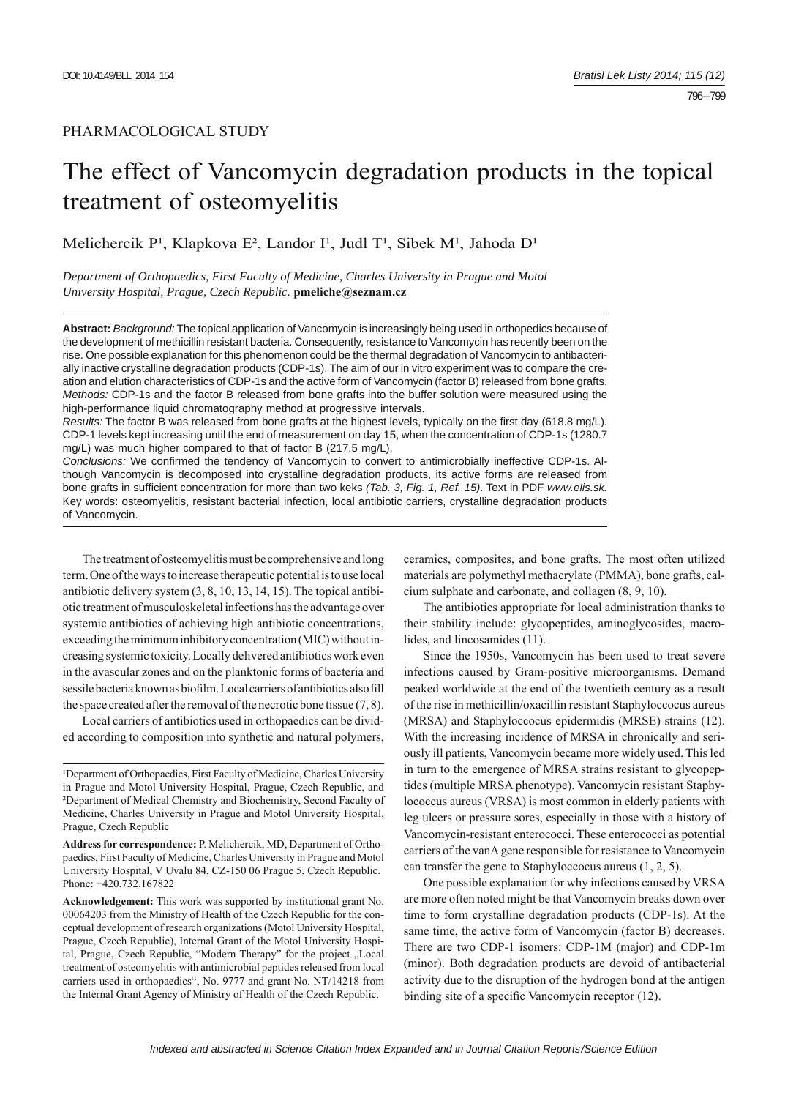## PHARMACOLOGICAL STUDY

# The effect of Vancomycin degradation products in the topical treatment of osteomyelitis

Melichercik P<sup>1</sup>, Klapkova E<sup>2</sup>, Landor I<sup>1</sup>, Judl T<sup>1</sup>, Sibek M<sup>1</sup>, Jahoda D<sup>1</sup>

*Department of Orthopaedics, First Faculty of Medicine, Charles University in Prague and Motol University Hospital, Prague, Czech Republic.* **pmeliche@seznam.cz** 

**Abstract:** *Background:* The topical application of Vancomycin is increasingly being used in orthopedics because of the development of methicillin resistant bacteria. Consequently, resistance to Vancomycin has recently been on the rise. One possible explanation for this phenomenon could be the thermal degradation of Vancomycin to antibacterially inactive crystalline degradation products (CDP-1s). The aim of our in vitro experiment was to compare the creation and elution characteristics of CDP-1s and the active form of Vancomycin (factor B) released from bone grafts. *Methods:* CDP-1s and the factor B released from bone grafts into the buffer solution were measured using the high-performance liquid chromatography method at progressive intervals.

*Results:* The factor B was released from bone grafts at the highest levels, typically on the first day (618.8 mg/L). CDP-1 levels kept increasing until the end of measurement on day 15, when the concentration of CDP-1s (1280.7 mg/L) was much higher compared to that of factor B (217.5 mg/L).

*Conclusions:* We confirmed the tendency of Vancomycin to convert to antimicrobially ineffective CDP-1s. Although Vancomycin is decomposed into crystalline degradation products, its active forms are released from bone grafts in sufficient concentration for more than two keks (Tab. 3, Fig. 1, Ref. 15). Text in PDF www.elis.sk. Key words: osteomyelitis, resistant bacterial infection, local antibiotic carriers, crystalline degradation products of Vancomycin.

The treatment of osteomyelitis must be comprehensive and long term. One of the ways to increase therapeutic potential is to use local antibiotic delivery system (3, 8, 10, 13, 14, 15). The topical antibiotic treatment of musculoskeletal infections has the advantage over systemic antibiotics of achieving high antibiotic concentrations, exceeding the minimum inhibitory concentration (MIC) without increasing systemic toxicity. Locally delivered antibiotics work even in the avascular zones and on the planktonic forms of bacteria and sessile bacteria known as biofilm. Local carriers of antibiotics also fill the space created after the removal of the necrotic bone tissue (7, 8).

Local carriers of antibiotics used in orthopaedics can be divided according to composition into synthetic and natural polymers, ceramics, composites, and bone grafts. The most often utilized materials are polymethyl methacrylate (PMMA), bone grafts, calcium sulphate and carbonate, and collagen (8, 9, 10).

The antibiotics appropriate for local administration thanks to their stability include: glycopeptides, aminoglycosides, macrolides, and lincosamides (11).

Since the 1950s, Vancomycin has been used to treat severe infections caused by Gram-positive microorganisms. Demand peaked worldwide at the end of the twentieth century as a result of the rise in methicillin/oxacillin resistant Staphyloccocus aureus (MRSA) and Staphyloccocus epidermidis (MRSE) strains (12). With the increasing incidence of MRSA in chronically and seriously ill patients, Vancomycin became more widely used. This led in turn to the emergence of MRSA strains resistant to glycopeptides (multiple MRSA phenotype). Vancomycin resistant Staphylococcus aureus (VRSA) is most common in elderly patients with leg ulcers or pressure sores, especially in those with a history of Vancomycin-resistant enterococci. These enterococci as potential carriers of the vanA gene responsible for resistance to Vancomycin can transfer the gene to Staphyloccocus aureus (1, 2, 5).

One possible explanation for why infections caused by VRSA are more often noted might be that Vancomycin breaks down over time to form crystalline degradation products (CDP-1s). At the same time, the active form of Vancomycin (factor B) decreases. There are two CDP-1 isomers: CDP-1M (major) and CDP-1m (minor). Both degradation products are devoid of antibacterial activity due to the disruption of the hydrogen bond at the antigen binding site of a specific Vancomycin receptor (12).

<sup>&</sup>lt;sup>1</sup>Department of Orthopaedics, First Faculty of Medicine, Charles University in Prague and Motol University Hospital, Prague, Czech Republic, and ²Department of Medical Chemistry and Biochemistry, Second Faculty of Medicine, Charles University in Prague and Motol University Hospital, Prague, Czech Republic

**Address for correspondence:** P. Melichercik, MD, Department of Orthopaedics, First Faculty of Medicine, Charles University in Prague and Motol University Hospital, V Uvalu 84, CZ-150 06 Prague 5, Czech Republic. Phone: +420.732.167822

**Acknowledgement:** This work was supported by institutional grant No. 00064203 from the Ministry of Health of the Czech Republic for the conceptual development of research organizations (Motol University Hospital, Prague, Czech Republic), Internal Grant of the Motol University Hospital, Prague, Czech Republic, "Modern Therapy" for the project "Local treatment of osteomyelitis with antimicrobial peptides released from local carriers used in orthopaedics", No. 9777 and grant No. NT/14218 from the Internal Grant Agency of Ministry of Health of the Czech Republic.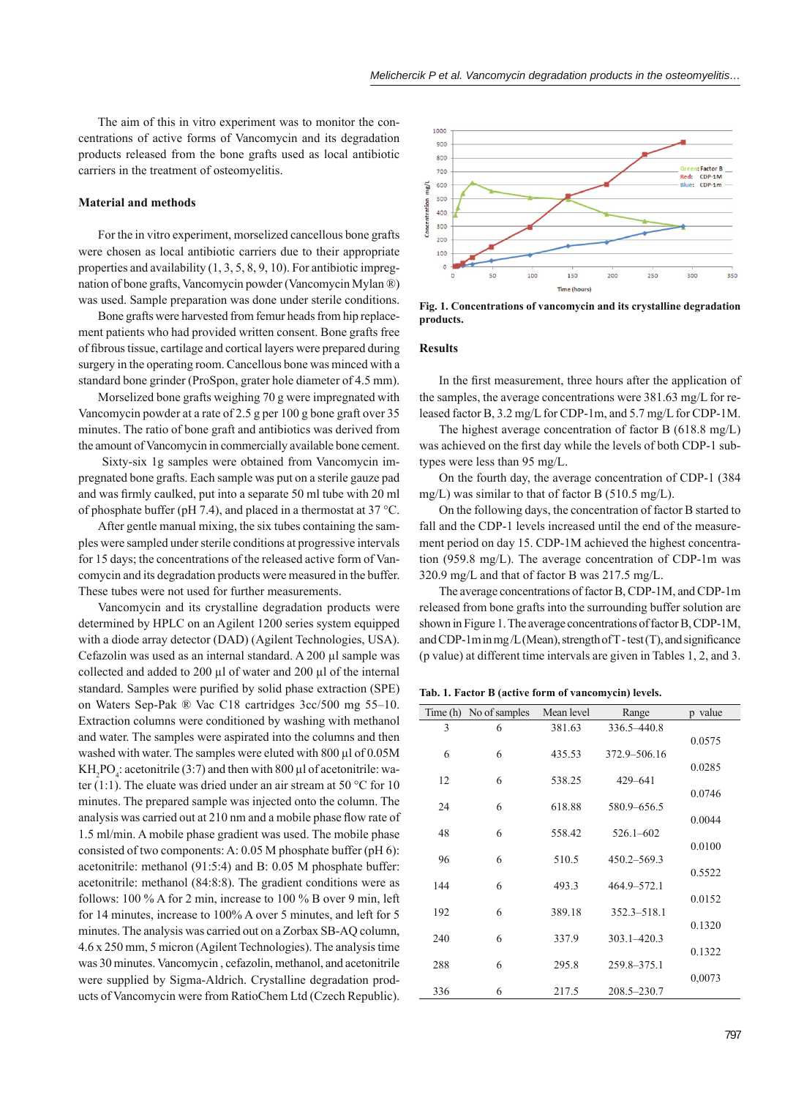The aim of this in vitro experiment was to monitor the concentrations of active forms of Vancomycin and its degradation products released from the bone grafts used as local antibiotic carriers in the treatment of osteomyelitis.

#### **Material and methods**

For the in vitro experiment, morselized cancellous bone grafts were chosen as local antibiotic carriers due to their appropriate properties and availability (1, 3, 5, 8, 9, 10). For antibiotic impregnation of bone grafts, Vancomycin powder (Vancomycin Mylan ®) was used. Sample preparation was done under sterile conditions.

Bone grafts were harvested from femur heads from hip replacement patients who had provided written consent. Bone grafts free of fibrous tissue, cartilage and cortical layers were prepared during surgery in the operating room. Cancellous bone was minced with a standard bone grinder (ProSpon, grater hole diameter of 4.5 mm).

Morselized bone grafts weighing 70 g were impregnated with Vancomycin powder at a rate of 2.5 g per 100 g bone graft over 35 minutes. The ratio of bone graft and antibiotics was derived from the amount of Vancomycin in commercially available bone cement.

 Sixty-six 1g samples were obtained from Vancomycin impregnated bone grafts. Each sample was put on a sterile gauze pad and was firmly caulked, put into a separate 50 ml tube with 20 ml of phosphate buffer (pH 7.4), and placed in a thermostat at 37 °C.

After gentle manual mixing, the six tubes containing the samples were sampled under sterile conditions at progressive intervals for 15 days; the concentrations of the released active form of Vancomycin and its degradation products were measured in the buffer. These tubes were not used for further measurements.

Vancomycin and its crystalline degradation products were determined by HPLC on an Agilent 1200 series system equipped with a diode array detector (DAD) (Agilent Technologies, USA). Cefazolin was used as an internal standard. A 200 μl sample was collected and added to 200 μl of water and 200 μl of the internal standard. Samples were purified by solid phase extraction (SPE) on Waters Sep-Pak ® Vac C18 cartridges 3cc/500 mg 55–10. Extraction columns were conditioned by washing with methanol and water. The samples were aspirated into the columns and then washed with water. The samples were eluted with 800 μl of 0.05M KH<sub>2</sub>PO<sub>4</sub>: acetonitrile (3:7) and then with 800  $\mu$ l of acetonitrile: water (1:1). The eluate was dried under an air stream at 50 °C for 10 minutes. The prepared sample was injected onto the column. The analysis was carried out at 210 nm and a mobile phase flow rate of 1.5 ml/min. A mobile phase gradient was used. The mobile phase consisted of two components: A: 0.05 M phosphate buffer (pH 6): acetonitrile: methanol (91:5:4) and B: 0.05 M phosphate buffer: acetonitrile: methanol (84:8:8). The gradient conditions were as follows: 100 % A for 2 min, increase to 100 % B over 9 min, left for 14 minutes, increase to 100% A over 5 minutes, and left for 5 minutes. The analysis was carried out on a Zorbax SB-AQ column, 4.6 x 250 mm, 5 micron (Agilent Technologies). The analysis time was 30 minutes. Vancomycin , cefazolin, methanol, and acetonitrile were supplied by Sigma-Aldrich. Crystalline degradation products of Vancomycin were from RatioChem Ltd (Czech Republic).



**Fig. 1. Concentrations of vancomycin and its crystalline degradation products.**

#### **Results**

In the first measurement, three hours after the application of the samples, the average concentrations were 381.63 mg/L for released factor B, 3.2 mg/L for CDP-1m, and 5.7 mg/L for CDP-1M.

The highest average concentration of factor B (618.8 mg/L) was achieved on the first day while the levels of both CDP-1 subtypes were less than 95 mg/L.

On the fourth day, the average concentration of CDP-1 (384 mg/L) was similar to that of factor B (510.5 mg/L).

On the following days, the concentration of factor B started to fall and the CDP-1 levels increased until the end of the measurement period on day 15. CDP-1M achieved the highest concentration (959.8 mg/L). The average concentration of CDP-1m was 320.9 mg/L and that of factor B was 217.5 mg/L.

The average concentrations of factor B, CDP-1M, and CDP-1m released from bone grafts into the surrounding buffer solution are shown in Figure 1. The average concentrations of factor B, CDP-1M, and CDP-1m in mg/L (Mean), strength of  $T$ -test (T), and significance (p value) at different time intervals are given in Tables 1, 2, and 3.

**Tab. 1. Factor B (active form of vancomycin) levels.**

|     | Time (h) No of samples | Mean level | Range           | p value |
|-----|------------------------|------------|-----------------|---------|
| 3   | 6                      | 381.63     | 336.5-440.8     |         |
|     |                        |            |                 | 0.0575  |
| 6   | 6                      | 435.53     | 372.9-506.16    |         |
|     |                        |            |                 | 0.0285  |
| 12  | 6                      | 538.25     | 429-641         |         |
| 24  | 6                      | 618.88     | 580.9-656.5     | 0.0746  |
|     |                        |            |                 | 0.0044  |
| 48  | 6                      | 558.42     | $526.1 - 602$   |         |
|     |                        |            |                 | 0.0100  |
| 96  | 6                      | 510.5      | $450.2 - 569.3$ |         |
|     |                        |            |                 | 0.5522  |
| 144 | 6                      | 493.3      | 464.9-572.1     |         |
|     |                        |            |                 | 0.0152  |
| 192 | 6                      | 389.18     | 352.3-518.1     |         |
|     |                        |            |                 | 0.1320  |
| 240 | 6                      | 337.9      | $303.1 - 420.3$ |         |
| 288 | 6                      | 295.8      | 259.8-375.1     | 0.1322  |
|     |                        |            |                 | 0,0073  |
| 336 | 6                      | 217.5      | 208.5-230.7     |         |
|     |                        |            |                 |         |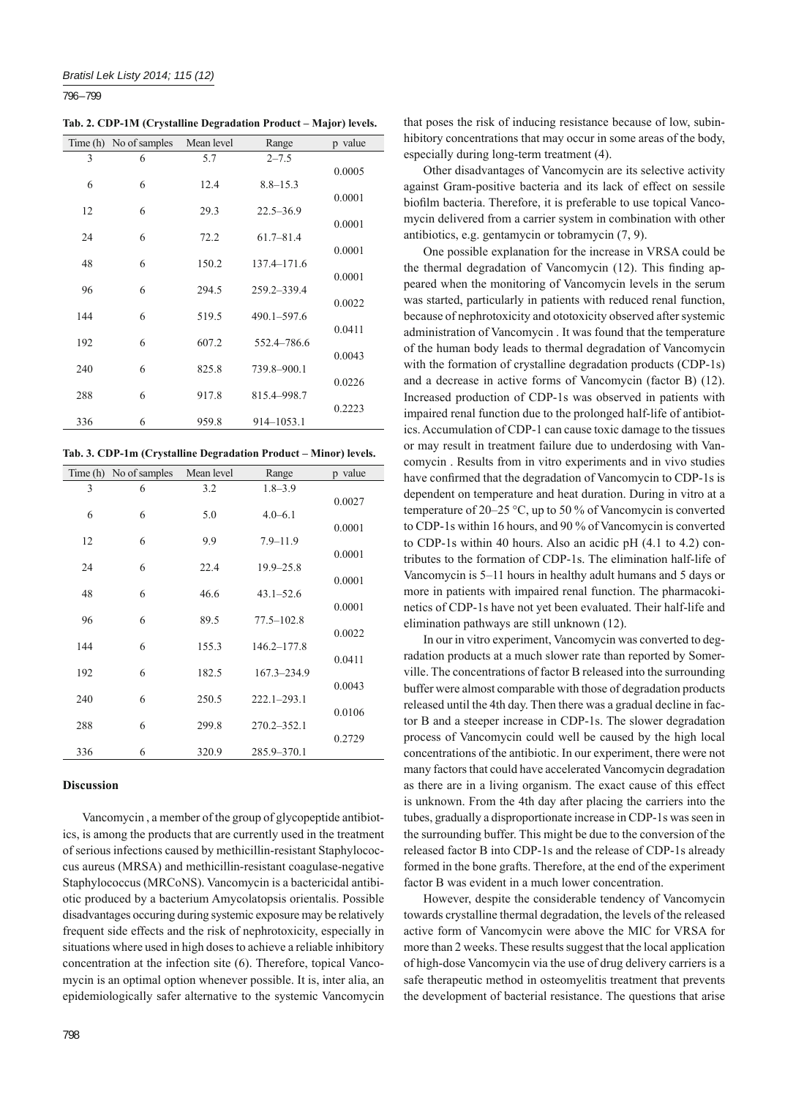796 – 799

**Tab. 2. CDP-1M (Crystalline Degradation Product – Major) levels.**

|     | Time (h) No of samples | Mean level | Range         | p value |
|-----|------------------------|------------|---------------|---------|
| 3   | 6                      | 5.7        | $2 - 7.5$     |         |
|     |                        |            |               | 0.0005  |
| 6   | 6                      | 12.4       | $8.8 - 15.3$  |         |
|     |                        |            |               | 0.0001  |
| 12  | 6                      | 29.3       | $22.5 - 36.9$ |         |
| 24  | 6                      | 72.2       | $61.7 - 81.4$ | 0.0001  |
|     |                        |            |               | 0.0001  |
| 48  | 6                      | 150.2      | 137.4-171.6   |         |
|     |                        |            |               | 0.0001  |
| 96  | 6                      | 294.5      | 259.2-339.4   |         |
|     |                        |            |               | 0.0022  |
| 144 | 6                      | 519.5      | 490.1-597.6   |         |
|     |                        |            |               | 0.0411  |
| 192 | 6                      | 607.2      | 552.4-786.6   |         |
|     |                        |            |               | 0.0043  |
| 240 | 6                      | 825.8      | 739.8-900.1   |         |
|     |                        |            |               | 0.0226  |
| 288 | 6                      | 917.8      | 815.4-998.7   | 0.2223  |
| 336 | 6                      | 959.8      | 914-1053.1    |         |
|     |                        |            |               |         |

**Tab. 3. CDP-1m (Crystalline Degradation Product – Minor) levels.**

|     | Time (h) No of samples | Mean level | Range           | p value |
|-----|------------------------|------------|-----------------|---------|
| 3   | 6                      | 3.2        | $1.8 - 3.9$     |         |
|     |                        |            |                 | 0.0027  |
| 6   | 6                      | 5.0        | $4.0 - 6.1$     |         |
| 12  | 6                      | 9.9        | $7.9 - 11.9$    | 0.0001  |
|     |                        |            |                 | 0.0001  |
| 24  | 6                      | 22.4       | $19.9 - 25.8$   |         |
|     |                        |            |                 | 0.0001  |
| 48  | 6                      | 46.6       | $43.1 - 52.6$   |         |
|     |                        |            |                 | 0.0001  |
| 96  | 6                      | 89.5       | $77.5 - 102.8$  |         |
| 144 | 6                      | 155.3      | $146.2 - 177.8$ | 0.0022  |
|     |                        |            |                 | 0.0411  |
| 192 | 6                      | 182.5      | 167.3-234.9     |         |
|     |                        |            |                 | 0.0043  |
| 240 | 6                      | 250.5      | $222.1 - 293.1$ |         |
|     |                        |            |                 | 0.0106  |
| 288 | 6                      | 299.8      | $270.2 - 352.1$ |         |
|     |                        |            |                 | 0.2729  |
| 336 | 6                      | 320.9      | 285.9-370.1     |         |

#### **Discussion**

Vancomycin , a member of the group of glycopeptide antibiotics, is among the products that are currently used in the treatment of serious infections caused by methicillin-resistant Staphylococcus aureus (MRSA) and methicillin-resistant coagulase-negative Staphylococcus (MRCoNS). Vancomycin is a bactericidal antibiotic produced by a bacterium Amycolatopsis orientalis. Possible disadvantages occuring during systemic exposure may be relatively frequent side effects and the risk of nephrotoxicity, especially in situations where used in high doses to achieve a reliable inhibitory concentration at the infection site (6). Therefore, topical Vancomycin is an optimal option whenever possible. It is, inter alia, an epidemiologically safer alternative to the systemic Vancomycin

Other disadvantages of Vancomycin are its selective activity against Gram-positive bacteria and its lack of effect on sessile biofilm bacteria. Therefore, it is preferable to use topical Vancomycin delivered from a carrier system in combination with other antibiotics, e.g. gentamycin or tobramycin (7, 9).

One possible explanation for the increase in VRSA could be the thermal degradation of Vancomycin (12). This finding appeared when the monitoring of Vancomycin levels in the serum was started, particularly in patients with reduced renal function, because of nephrotoxicity and ototoxicity observed after systemic administration of Vancomycin . It was found that the temperature of the human body leads to thermal degradation of Vancomycin with the formation of crystalline degradation products (CDP-1s) and a decrease in active forms of Vancomycin (factor B) (12). Increased production of CDP-1s was observed in patients with impaired renal function due to the prolonged half-life of antibiotics. Accumulation of CDP-1 can cause toxic damage to the tissues or may result in treatment failure due to underdosing with Vancomycin . Results from in vitro experiments and in vivo studies have confirmed that the degradation of Vancomycin to CDP-1s is dependent on temperature and heat duration. During in vitro at a temperature of 20–25 °C, up to 50 % of Vancomycin is converted to CDP-1s within 16 hours, and 90 % of Vancomycin is converted to CDP-1s within 40 hours. Also an acidic pH (4.1 to 4.2) contributes to the formation of CDP-1s. The elimination half-life of Vancomycin is 5–11 hours in healthy adult humans and 5 days or more in patients with impaired renal function. The pharmacokinetics of CDP-1s have not yet been evaluated. Their half-life and elimination pathways are still unknown (12).

In our in vitro experiment, Vancomycin was converted to degradation products at a much slower rate than reported by Somerville. The concentrations of factor B released into the surrounding buffer were almost comparable with those of degradation products released until the 4th day. Then there was a gradual decline in factor B and a steeper increase in CDP-1s. The slower degradation process of Vancomycin could well be caused by the high local concentrations of the antibiotic. In our experiment, there were not many factors that could have accelerated Vancomycin degradation as there are in a living organism. The exact cause of this effect is unknown. From the 4th day after placing the carriers into the tubes, gradually a disproportionate increase in CDP-1s was seen in the surrounding buffer. This might be due to the conversion of the released factor B into CDP-1s and the release of CDP-1s already formed in the bone grafts. Therefore, at the end of the experiment factor B was evident in a much lower concentration.

However, despite the considerable tendency of Vancomycin towards crystalline thermal degradation, the levels of the released active form of Vancomycin were above the MIC for VRSA for more than 2 weeks. These results suggest that the local application of high-dose Vancomycin via the use of drug delivery carriers is a safe therapeutic method in osteomyelitis treatment that prevents the development of bacterial resistance. The questions that arise